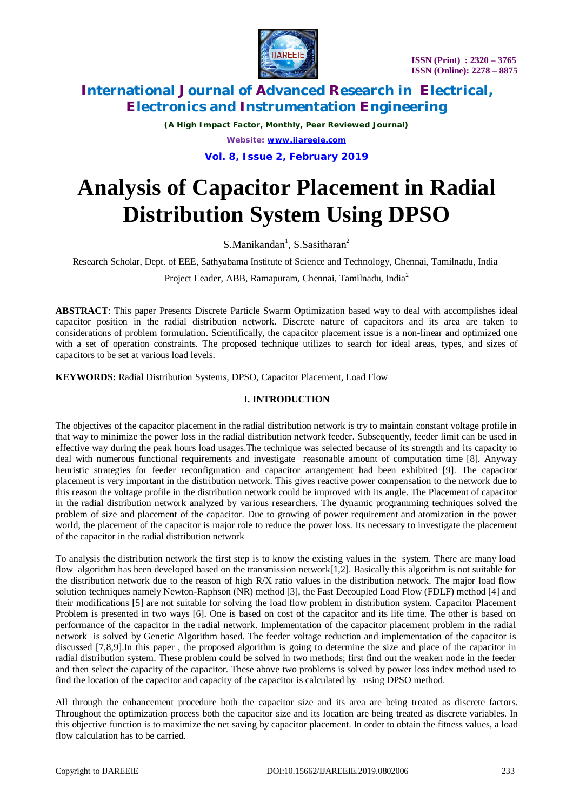

*(A High Impact Factor, Monthly, Peer Reviewed Journal) Website: [www.ijareeie.com](http://www.ijareeie.com)*

**Vol. 8, Issue 2, February 2019**

# **Analysis of Capacitor Placement in Radial Distribution System Using DPSO**

 $S.Manikandan<sup>1</sup>, S.Sasitharan<sup>2</sup>$ 

Research Scholar, Dept. of EEE, Sathyabama Institute of Science and Technology, Chennai, Tamilnadu, India<sup>1</sup>

Project Leader, ABB, Ramapuram, Chennai, Tamilnadu, India<sup>2</sup>

**ABSTRACT**: This paper Presents Discrete Particle Swarm Optimization based way to deal with accomplishes ideal capacitor position in the radial distribution network. Discrete nature of capacitors and its area are taken to considerations of problem formulation. Scientifically, the capacitor placement issue is a non-linear and optimized one with a set of operation constraints. The proposed technique utilizes to search for ideal areas, types, and sizes of capacitors to be set at various load levels.

**KEYWORDS:** Radial Distribution Systems, DPSO, Capacitor Placement, Load Flow

## **I. INTRODUCTION**

The objectives of the capacitor placement in the radial distribution network is try to maintain constant voltage profile in that way to minimize the power loss in the radial distribution network feeder. Subsequently, feeder limit can be used in effective way during the peak hours load usages.The technique was selected because of its strength and its capacity to deal with numerous functional requirements and investigate reasonable amount of computation time [8]. Anyway heuristic strategies for feeder reconfiguration and capacitor arrangement had been exhibited [9]. The capacitor placement is very important in the distribution network. This gives reactive power compensation to the network due to this reason the voltage profile in the distribution network could be improved with its angle. The Placement of capacitor in the radial distribution network analyzed by various researchers. The dynamic programming techniques solved the problem of size and placement of the capacitor. Due to growing of power requirement and atomization in the power world, the placement of the capacitor is major role to reduce the power loss. Its necessary to investigate the placement of the capacitor in the radial distribution network

To analysis the distribution network the first step is to know the existing values in the system. There are many load flow algorithm has been developed based on the transmission network[1,2]. Basically this algorithm is not suitable for the distribution network due to the reason of high R/X ratio values in the distribution network. The major load flow solution techniques namely Newton-Raphson (NR) method [3], the Fast Decoupled Load Flow (FDLF) method [4] and their modifications [5] are not suitable for solving the load flow problem in distribution system. Capacitor Placement Problem is presented in two ways [6]. One is based on cost of the capacitor and its life time. The other is based on performance of the capacitor in the radial network. Implementation of the capacitor placement problem in the radial network is solved by Genetic Algorithm based. The feeder voltage reduction and implementation of the capacitor is discussed [7,8,9].In this paper , the proposed algorithm is going to determine the size and place of the capacitor in radial distribution system. These problem could be solved in two methods; first find out the weaken node in the feeder and then select the capacity of the capacitor. These above two problems is solved by power loss index method used to find the location of the capacitor and capacity of the capacitor is calculated by using DPSO method.

All through the enhancement procedure both the capacitor size and its area are being treated as discrete factors. Throughout the optimization process both the capacitor size and its location are being treated as discrete variables. In this objective function is to maximize the net saving by capacitor placement. In order to obtain the fitness values, a load flow calculation has to be carried.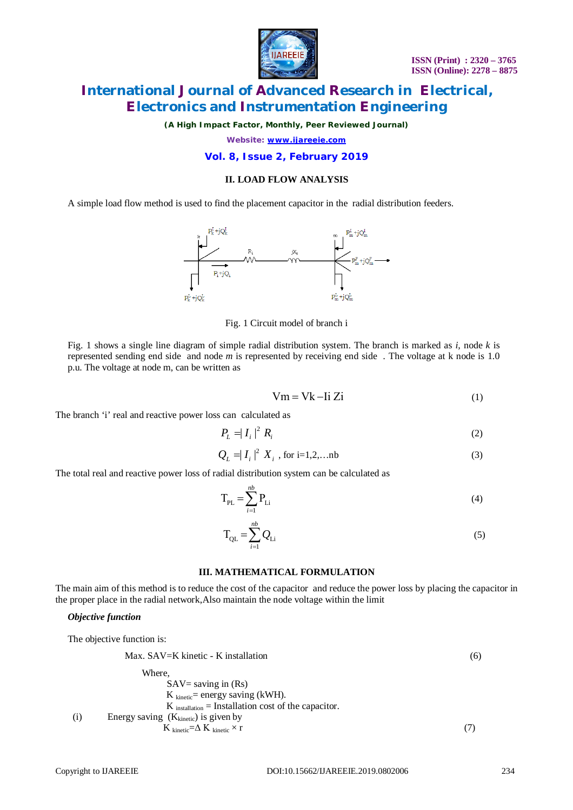

*(A High Impact Factor, Monthly, Peer Reviewed Journal)*

*Website: [www.ijareeie.com](http://www.ijareeie.com)*

#### **Vol. 8, Issue 2, February 2019**

#### **II. LOAD FLOW ANALYSIS**

A simple load flow method is used to find the placement capacitor in the radial distribution feeders.



Fig. 1 Circuit model of branch i

Fig. 1 shows a single line diagram of simple radial distribution system. The branch is marked as *i,* node *k* is represented sending end side and node *m* is represented by receiving end side *.* The voltage at k node is 1.0 p.u. The voltage at node m, can be written as

$$
Vm = Vk - Ii Zi
$$
 (1)

The branch 'i' real and reactive power loss can calculated as

$$
P_L = |I_i|^2 R_i \tag{2}
$$

$$
Q_L = |I_i|^2 X_i, \text{ for } i = 1, 2, \dots \text{nb}
$$
 (3)

The total real and reactive power loss of radial distribution system can be calculated as

$$
T_{PL} = \sum_{i=1}^{nb} P_{Li}
$$
 (4)

$$
T_{QL} = \sum_{i=1}^{nb} Q_{Li}
$$
 (5)

#### **III. MATHEMATICAL FORMULATION**

The main aim of this method is to reduce the cost of the capacitor and reduce the power loss by placing the capacitor in the proper place in the radial network,Also maintain the node voltage within the limit

#### *Objective function*

The objective function is:

| Max. SAV=K kinetic - K installation                   | (6)                 |
|-------------------------------------------------------|---------------------|
| Where,                                                | SAV= saving in (Rs) |
| K $kinetic$ = energy saving (kWH).                    |                     |
| K $inetic$ = Intallation cost of the capacitor.       |                     |
| (i) Energy saving (K <sub>kinetic</sub> ) is given by |                     |
| K $kinetic$ $\Delta$ K $kinetic$ $\times$ r           |                     |

\n
$$
(7)
$$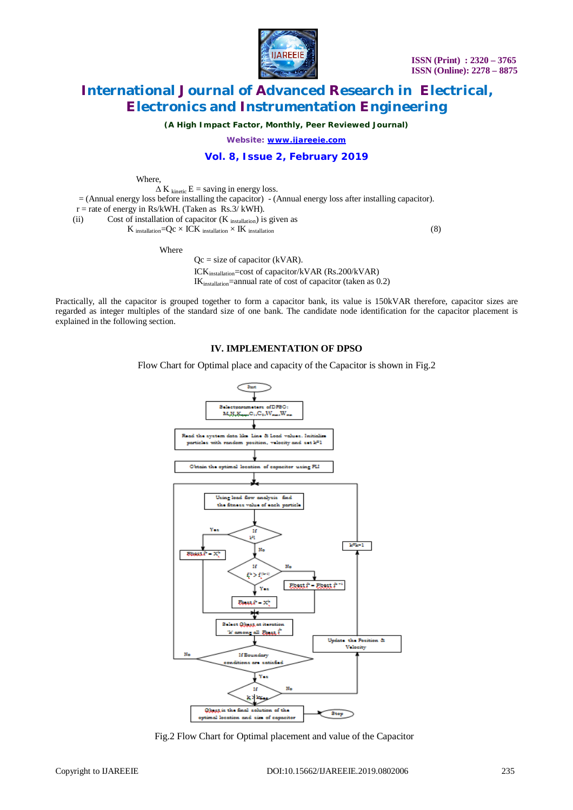

*(A High Impact Factor, Monthly, Peer Reviewed Journal)*

*Website: [www.ijareeie.com](http://www.ijareeie.com)*

#### **Vol. 8, Issue 2, February 2019**

Where,

 $\Delta K$ <sub>kinetic</sub> E = saving in energy loss.

 $=$  (Annual energy loss before installing the capacitor)  $-$  (Annual energy loss after installing capacitor).

 $r =$  rate of energy in Rs/kWH. (Taken as Rs.3/ kWH).

(ii) Cost of installation of capacitor  $(K_{\text{ installation}})$  is given as

K installation  $=Qc \times ICK$  installation  $\times$  IK installation (8)

Where

 $Qc = size of capacitor (kVAR).$ ICKinstallation=cost of capacitor/kVAR (Rs.200/kVAR)  $IK<sub>instanton</sub>$ =annual rate of cost of capacitor (taken as 0.2)

Practically, all the capacitor is grouped together to form a capacitor bank, its value is 150kVAR therefore, capacitor sizes are regarded as integer multiples of the standard size of one bank. The candidate node identification for the capacitor placement is explained in the following section.

#### **IV. IMPLEMENTATION OF DPSO**

Flow Chart for Optimal place and capacity of the Capacitor is shown in Fig.2



Fig.2 Flow Chart for Optimal placement and value of the Capacitor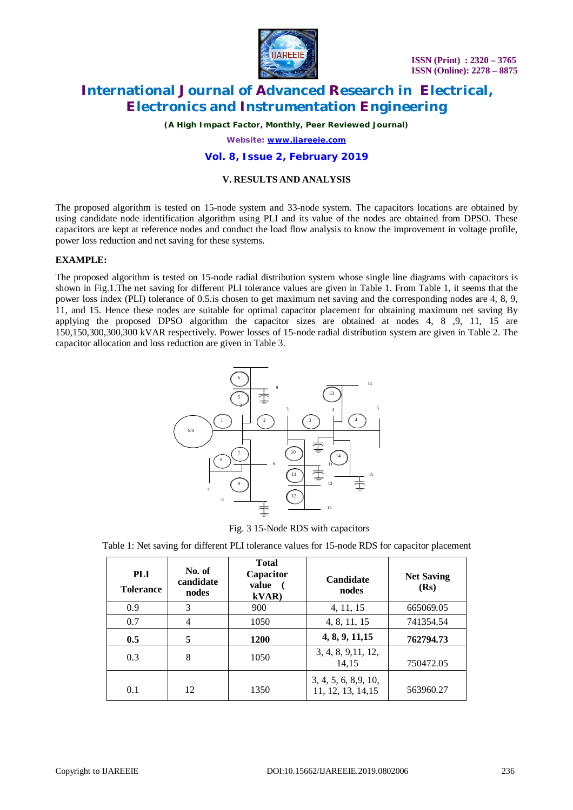

*(A High Impact Factor, Monthly, Peer Reviewed Journal)*

*Website: [www.ijareeie.com](http://www.ijareeie.com)*

#### **Vol. 8, Issue 2, February 2019**

#### **V. RESULTS AND ANALYSIS**

The proposed algorithm is tested on 15-node system and 33-node system. The capacitors locations are obtained by using candidate node identification algorithm using PLI and its value of the nodes are obtained from DPSO. These capacitors are kept at reference nodes and conduct the load flow analysis to know the improvement in voltage profile, power loss reduction and net saving for these systems.

#### **EXAMPLE:**

The proposed algorithm is tested on 15-node radial distribution system whose single line diagrams with capacitors is shown in Fig.1.The net saving for different PLI tolerance values are given in Table 1. From Table 1, it seems that the power loss index (PLI) tolerance of 0.5.is chosen to get maximum net saving and the corresponding nodes are 4, 8, 9, 11, and 15. Hence these nodes are suitable for optimal capacitor placement for obtaining maximum net saving By applying the proposed DPSO algorithm the capacitor sizes are obtained at nodes 4, 8 ,9, 11, 15 are 150,150,300,300,300 kVAR respectively. Power losses of 15-node radial distribution system are given in Table 2. The capacitor allocation and loss reduction are given in Table 3.



Fig. 3 15-Node RDS with capacitors

Table 1: Net saving for different PLI tolerance values for 15-node RDS for capacitor placement

| <b>PLI</b><br><b>Tolerance</b> | No. of<br>candidate<br>nodes | <b>Total</b><br>Capacitor<br>value<br>kVAR | Candidate<br>nodes                          | <b>Net Saving</b><br>(Rs) |  |
|--------------------------------|------------------------------|--------------------------------------------|---------------------------------------------|---------------------------|--|
| 0.9                            | 3                            | 900                                        | 4, 11, 15                                   | 665069.05                 |  |
| 0.7                            | 4                            | 1050                                       | 4, 8, 11, 15                                | 741354.54                 |  |
| 0.5                            | 5                            | <b>1200</b>                                | 4, 8, 9, 11, 15                             | 762794.73                 |  |
| 0.3                            | 8                            | 1050                                       | 3, 4, 8, 9, 11, 12,<br>14,15                | 750472.05                 |  |
| 0.1                            | 12                           | 1350                                       | 3, 4, 5, 6, 8, 9, 10,<br>11, 12, 13, 14, 15 | 563960.27                 |  |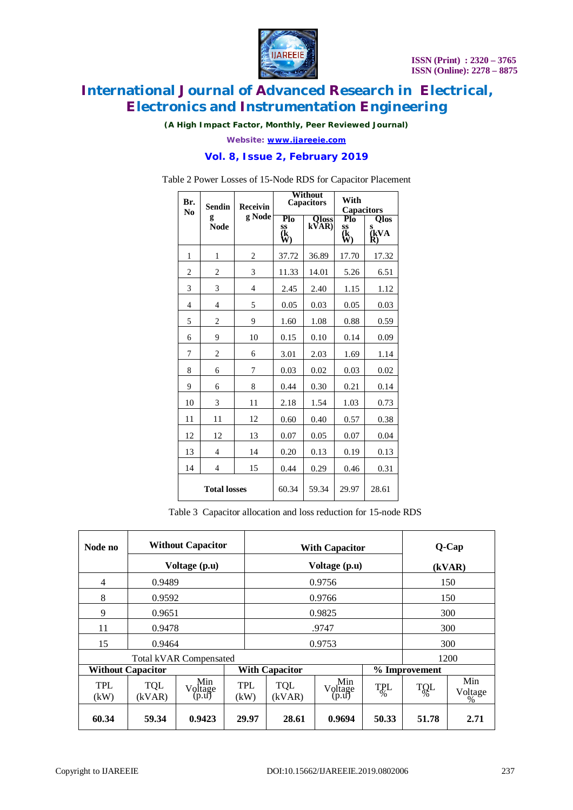

*(A High Impact Factor, Monthly, Peer Reviewed Journal)*

*Website: [www.ijareeie.com](http://www.ijareeie.com)*

### **Vol. 8, Issue 2, February 2019**

| Br.                 | <b>Sendin</b>    | <b>Receivin</b> |                       | Without<br><b>Capacitors</b>      | With<br><b>Capacitors</b>          |                                |
|---------------------|------------------|-----------------|-----------------------|-----------------------------------|------------------------------------|--------------------------------|
| No                  | g<br><b>Node</b> | g Node          | Plo<br>SS<br>(k<br>W) | $\overline{\text{Oloss}}$<br>kVAR | $P_{10}$<br>$\frac{ss}{(k)}$<br>W) | <b>Qlos</b><br>s<br>(kVA<br>R) |
| 1                   | 1                | $\overline{2}$  | 37.72                 | 36.89                             | 17.70                              | 17.32                          |
| $\overline{2}$      | $\overline{c}$   | 3               | 11.33                 | 14.01                             | 5.26                               | 6.51                           |
| 3                   | 3                | 4               | 2.45                  | 2.40                              | 1.15                               | 1.12                           |
| $\overline{4}$      | $\overline{4}$   | 5               | 0.05                  | 0.03                              | 0.05                               | 0.03                           |
| 5                   | $\overline{2}$   | 9               | 1.60                  | 1.08                              | 0.88                               | 0.59                           |
| 6                   | 9                | 10              | 0.15                  | 0.10                              | 0.14                               | 0.09                           |
| 7                   | $\overline{2}$   | 6               | 3.01                  | 2.03                              | 1.69                               | 1.14                           |
| 8                   | 6                | 7               | 0.03                  | 0.02                              | 0.03                               | 0.02                           |
| 9                   | 6                | 8               | 0.44                  | 0.30                              | 0.21                               | 0.14                           |
| 10                  | 3                | 11              | 2.18                  | 1.54                              | 1.03                               | 0.73                           |
| 11                  | 11               | 12              | 0.60                  | 0.40                              | 0.57                               | 0.38                           |
| 12                  | 12               | 13              | 0.07                  | 0.05                              | 0.07                               | 0.04                           |
| 13                  | $\overline{4}$   | 14              | 0.20                  | 0.13                              | 0.19                               | 0.13                           |
| 14                  | $\overline{4}$   | 15              | 0.44                  | 0.29                              | 0.46                               | 0.31                           |
| <b>Total losses</b> |                  |                 | 60.34                 | 59.34                             | 29.97                              | 28.61                          |

Table 2 Power Losses of 15-Node RDS for Capacitor Placement

Table 3 Capacitor allocation and loss reduction for 15-node RDS

| Node no                       | <b>Without Capacitor</b><br>Voltage (p.u) |                         |             | <b>With Capacitor</b><br>Voltage (p.u) | Q-Cap<br>(kVAR)         |                             |               |                |
|-------------------------------|-------------------------------------------|-------------------------|-------------|----------------------------------------|-------------------------|-----------------------------|---------------|----------------|
| 4                             | 0.9489                                    |                         |             | 0.9756                                 | 150                     |                             |               |                |
| 8                             | 0.9592                                    |                         |             | 0.9766                                 |                         |                             | 150           |                |
| 9                             | 0.9651                                    |                         |             | 0.9825                                 |                         |                             | 300           |                |
| 11                            | 0.9478                                    |                         |             | .9747                                  |                         |                             | 300           |                |
| 15                            | 0.9464                                    |                         |             | 0.9753                                 |                         |                             | 300           |                |
| <b>Total kVAR Compensated</b> |                                           |                         |             |                                        |                         |                             | 1200          |                |
| <b>Without Capacitor</b>      |                                           |                         |             | <b>With Capacitor</b>                  |                         |                             | % Improvement |                |
| <b>TPL</b><br>(kW)            | <b>TQL</b><br>(kVAR)                      | Min<br>Voltage<br>(p.u) | TPL<br>(kW) | <b>TQL</b><br>(kVAR)                   | Min<br>Voltage<br>(p.u) | <b>TPL</b><br>$\frac{6}{6}$ | TOL           | Min<br>Voltage |
| 60.34                         | 59.34                                     | 0.9423                  | 29.97       | 28.61                                  | 0.9694                  | 50.33                       | 51.78         | 2.71           |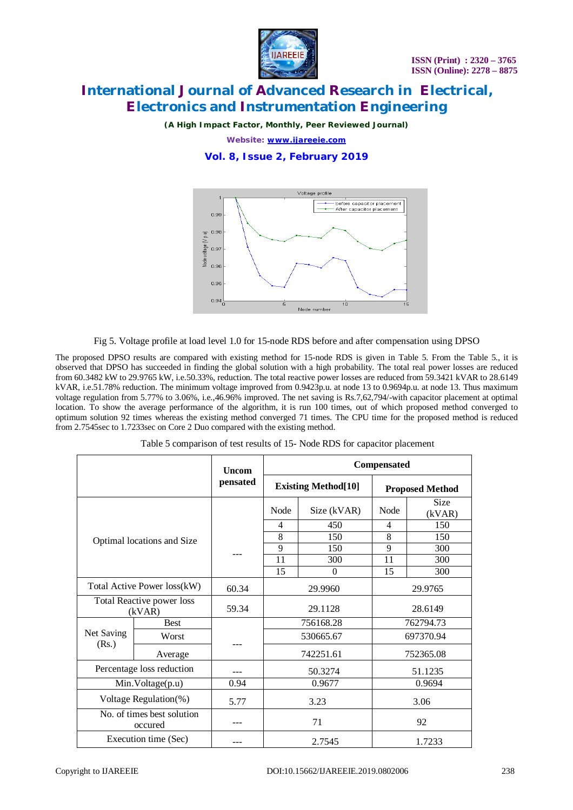

*(A High Impact Factor, Monthly, Peer Reviewed Journal)*

*Website: [www.ijareeie.com](http://www.ijareeie.com)*

**Vol. 8, Issue 2, February 2019**



Fig 5. Voltage profile at load level 1.0 for 15-node RDS before and after compensation using DPSO

The proposed DPSO results are compared with existing method for 15-node RDS is given in Table 5. From the Table 5., it is observed that DPSO has succeeded in finding the global solution with a high probability. The total real power losses are reduced from 60.3482 kW to 29.9765 kW, i.e.50.33%, reduction. The total reactive power losses are reduced from 59.3421 kVAR to 28.6149 kVAR, i.e.51.78% reduction. The minimum voltage improved from 0.9423p.u. at node 13 to 0.9694p.u. at node 13. Thus maximum voltage regulation from 5.77% to 3.06%, i.e.,46.96% improved. The net saving is Rs.7,62,794/-with capacitor placement at optimal location. To show the average performance of the algorithm, it is run 100 times, out of which proposed method converged to optimum solution 92 times whereas the existing method converged 71 times. The CPU time for the proposed method is reduced from 2.7545sec to 1.7233sec on Core 2 Duo compared with the existing method.

|                                       |             | <b>Uncom</b> | <b>Compensated</b>          |             |                        |                |  |
|---------------------------------------|-------------|--------------|-----------------------------|-------------|------------------------|----------------|--|
|                                       |             | pensated     | <b>Existing Method</b> [10] |             | <b>Proposed Method</b> |                |  |
|                                       |             |              | Node                        | Size (kVAR) | Node                   | Size<br>(kVAR) |  |
|                                       |             |              | 4                           | 450         | 4                      | 150            |  |
| Optimal locations and Size            |             |              | 8                           | 150         | 8                      | 150            |  |
|                                       |             |              | 9                           | 150         | 9                      | 300            |  |
|                                       |             |              | 11                          | 300         | 11                     | 300            |  |
|                                       |             |              | 15                          | $\theta$    | 15                     | 300            |  |
| Total Active Power loss(kW)           |             | 60.34        | 29.9960                     |             | 29.9765                |                |  |
| Total Reactive power loss<br>(kVAR)   |             | 59.34        | 29.1128                     |             | 28.6149                |                |  |
| Net Saving<br>(Rs.)                   | <b>Best</b> |              | 756168.28                   |             | 762794.73              |                |  |
|                                       | Worst       |              | 530665.67                   |             | 697370.94              |                |  |
|                                       | Average     |              | 742251.61                   |             | 752365.08              |                |  |
| Percentage loss reduction             |             |              | 50.3274                     |             | 51.1235                |                |  |
| Min.Voltage(p.u)                      |             | 0.94         | 0.9677                      |             | 0.9694                 |                |  |
| Voltage Regulation(%)                 |             | 5.77         | 3.23                        |             | 3.06                   |                |  |
| No. of times best solution<br>occured |             |              | 71                          |             | 92                     |                |  |
| Execution time (Sec)                  |             |              | 2.7545                      |             | 1.7233                 |                |  |

Table 5 comparison of test results of 15- Node RDS for capacitor placement